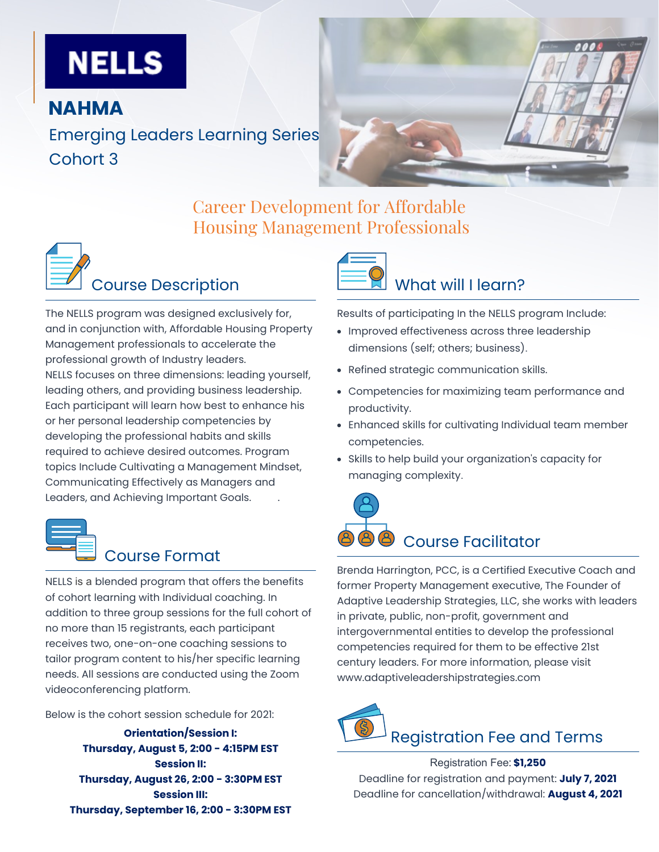### **NELLS**

#### **NAHMA**

Emerging Leaders Learning Series Cohort 3



#### Career Development for Affordable Housing Management Professionals



The NELLS program was designed exclusively for, and in conjunction with, Affordable Housing Property Management professionals to accelerate the professional growth of Industry leaders. NELLS focuses on three dimensions: leading yourself, leading others, and providing business leadership. Each participant will learn how best to enhance his or her personal leadership competencies by developing the professional habits and skills required to achieve desired outcomes. Program topics Include Cultivating a Management Mindset, Communicating Effectively as Managers and Leaders, and Achieving Important Goals. .



#### Course Format

NELLS is a blended program that offers the benefits of cohort learning with Individual coaching. In addition to three group sessions for the full cohort of no more than 15 registrants, each participant receives two, one-on-one coaching sessions to tailor program content to his/her specific learning needs. All sessions are conducted using the Zoom videoconferencing platform.

Below is the cohort session schedule for 2021:

**Orientation/Session I: Thursday, August 5, 2:00 - 4:15PM EST Session II: Thursday, August 26, 2:00 - 3:30PM EST Session III: Thursday, September 16, 2:00 - 3:30PM EST** 



Results of participating In the NELLS program Include:

- Improved effectiveness across three leadership dimensions (self; others; business).
- Refined strategic communication skills.
- Competencies for maximizing team performance and productivity.
- Enhanced skills for cultivating Individual team member competencies.
- Skills to help build your organization's capacity for managing complexity.

# Course Facilitator

Brenda Harrington, PCC, is a Certified Executive Coach and former Property Management executive, The Founder of Adaptive Leadership Strategies, LLC, she works with leaders in private, public, non-profit, government and intergovernmental entities to develop the professional competencies required for them to be effective 21st century leaders. For more information, please visit www.adaptiveleadershipstrategies.com

## Registration Fee and Terms

Registration Fee: **\$1,250** Deadline for registration and payment: **July 7, 2021** Deadline for cancellation/withdrawal: **August 4, 2021**